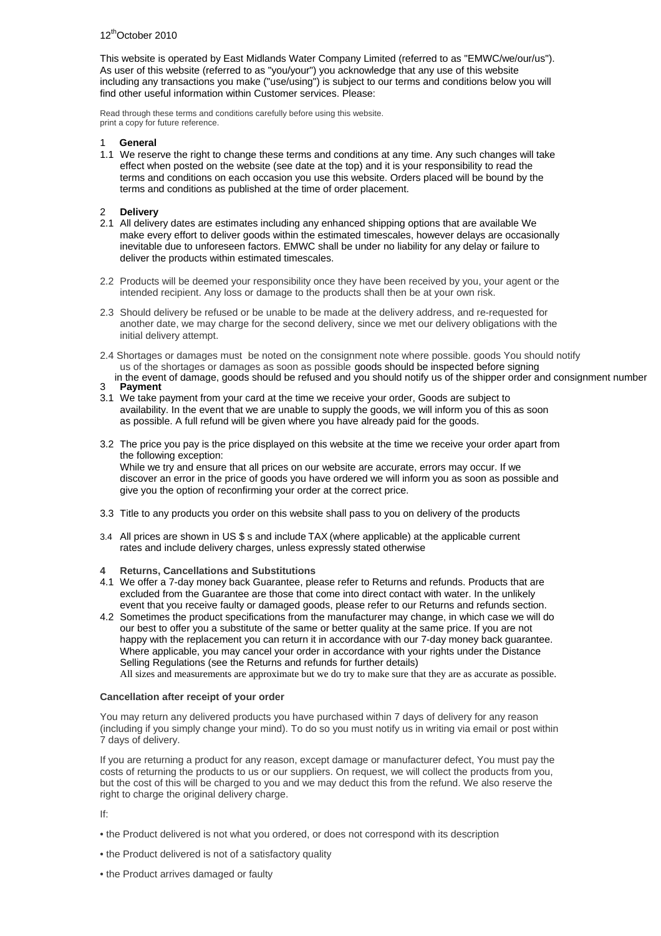This website is operated by East Midlands Water Company Limited (referred to as "EMWC/we/our/us"). As user of this website (referred to as "you/your") you acknowledge that any use of this website including any transactions you make ("use/using") is subject to our terms and conditions below you will find other useful information within Customer services. Please:

Read through these terms and conditions carefully before using this website. print a copy for future reference.

# 1 **General**

1.1 We reserve the right to change these terms and conditions at any time. Any such changes will take effect when posted on the website (see date at the top) and it is your responsibility to read the terms and conditions on each occasion you use this website. Orders placed will be bound by the terms and conditions as published at the time of order placement.

# 2 **Delivery**

- 2.1 All delivery dates are estimates including any enhanced shipping options that are available We make every effort to deliver goods within the estimated timescales, however delays are occasionally inevitable due to unforeseen factors. EMWC shall be under no liability for any delay or failure to deliver the products within estimated timescales.
- 2.2 Products will be deemed your responsibility once they have been received by you, your agent or the intended recipient. Any loss or damage to the products shall then be at your own risk.
- 2.3 Should delivery be refused or be unable to be made at the delivery address, and re-requested for another date, we may charge for the second delivery, since we met our delivery obligations with the initial delivery attempt.
- 2.4 Shortages or damages must be noted on the consignment note where possible. goods You should notify us of the shortages or damages as soon as possibleA[[å●A @ˇˌå/à/Aʃ ●] ^&c å/à^-[ ¦^A ã } ą \* / āAo@Aç^}on[~&aa{a#^E^[[å●A@]`|å&^A^~`●^åAa}åA[`A@]`|åA[cã-A ●n[~Ao@A@]]^¦n[¦å^¦Aa}åA&[}●ã}{^}on}`{à^¦
- 3 **Payment**
- 3.1 We take payment from your card at the time we receive your order, Goods are subject to availability. In the event that we are unable to supply the goods, we will inform you of this as soon as possible. A full refund will be given where you have already paid for the goods.
- 3.2 The price you pay is the price displayed on this website at the time we receive your order apart from the following exception: While we try and ensure that all prices on our website are accurate, errors may occur. If we discover an error in the price of goods you have ordered we will inform you as soon as possible and give you the option of reconfirming your order at the correct price.
- 3.3 Title to any products you order on this website shall pass to you on delivery of the products
- 3.4 All prices are shown in US \$ s and include TAX (where applicable) at the applicable current rates and include delivery charges, unless expressly stated otherwise
- **4 Returns, Cancellations and Substitutions**
- 4.1 We offer a 7-day money back Guarantee, please refer to Returns and refunds. Products that are excluded from the Guarantee are those that come into direct contact with water. In the unlikely event that you receive faulty or damaged goods, please refer to our Returns and refunds section.
- 4.2 Sometimes the product specifications from the manufacturer may change, in which case we will do our best to offer you a substitute of the same or better quality at the same price. If you are not happy with the replacement you can return it in accordance with our 7-day money back guarantee. Where applicable, you may cancel your order in accordance with your rights under the Distance Selling Regulations (see the Returns and refunds for further details)

All sizes and measurements are approximate but we do try to make sure that they are as accurate as possible.

# **Cancellation after receipt of your order**

You may return any delivered products you have purchased within 7 days of delivery for any reason (including if you simply change your mind). To do so you must notify us in writing via email or post within 7 days of delivery.

If you are returning a product for any reason, except damage or manufacturer defect, You must pay the costs of returning the products to us or our suppliers. On request, we will collect the products from you, but the cost of this will be charged to you and we may deduct this from the refund. We also reserve the right to charge the original delivery charge.

If:

- the Product delivered is not what you ordered, or does not correspond with its description
- the Product delivered is not of a satisfactory quality
- the Product arrives damaged or faulty